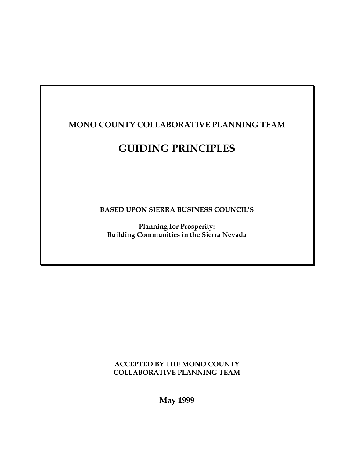# **MONO COUNTY COLLABORATIVE PLANNING TEAM**

# **GUIDING PRINCIPLES**

**BASED UPON SIERRA BUSINESS COUNCIL'S**

**Planning for Prosperity: Building Communities in the Sierra Nevada**

**ACCEPTED BY THE MONO COUNTY COLLABORATIVE PLANNING TEAM**

**May 1999**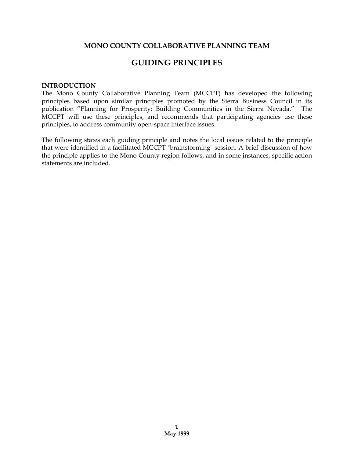# **MONO COUNTY COLLABORATIVE PLANNING TEAM**

# **GUIDING PRINCIPLES**

#### **INTRODUCTION**

The Mono County Collaborative Planning Team (MCCPT) has developed the following principles based upon similar principles promoted by the Sierra Business Council in its publication "Planning for Prosperity: Building Communities in the Sierra Nevada." The MCCPT will use these principles, and recommends that participating agencies use these principles, to address community open-space interface issues.

The following states each guiding principle and notes the local issues related to the principle that were identified in a facilitated MCCPT "brainstorming" session. A brief discussion of how the principle applies to the Mono County region follows, and in some instances, specific action statements are included.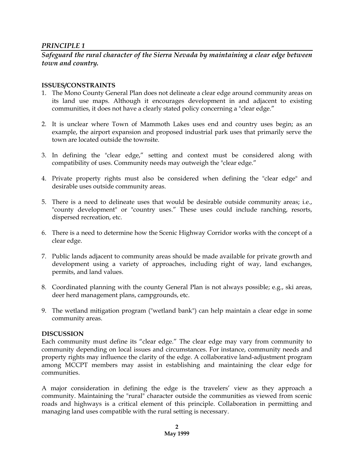*Safeguard the rural character of the Sierra Nevada by maintaining a clear edge between town and country.*

#### **ISSUES/CONSTRAINTS**

- 1. The Mono County General Plan does not delineate a clear edge around community areas on its land use maps. Although it encourages development in and adjacent to existing communities, it does not have a clearly stated policy concerning a "clear edge."
- 2. It is unclear where Town of Mammoth Lakes uses end and country uses begin; as an example, the airport expansion and proposed industrial park uses that primarily serve the town are located outside the townsite.
- 3. In defining the "clear edge," setting and context must be considered along with compatibility of uses. Community needs may outweigh the "clear edge."
- 4. Private property rights must also be considered when defining the "clear edge" and desirable uses outside community areas.
- 5. There is a need to delineate uses that would be desirable outside community areas; i.e., "county development" or "country uses." These uses could include ranching, resorts, dispersed recreation, etc.
- 6. There is a need to determine how the Scenic Highway Corridor works with the concept of a clear edge.
- 7. Public lands adjacent to community areas should be made available for private growth and development using a variety of approaches, including right of way, land exchanges, permits, and land values.
- 8. Coordinated planning with the county General Plan is not always possible; e.g., ski areas, deer herd management plans, campgrounds, etc.
- 9. The wetland mitigation program ("wetland bank") can help maintain a clear edge in some community areas.

#### **DISCUSSION**

Each community must define its "clear edge." The clear edge may vary from community to community depending on local issues and circumstances. For instance, community needs and property rights may influence the clarity of the edge. A collaborative land-adjustment program among MCCPT members may assist in establishing and maintaining the clear edge for communities.

A major consideration in defining the edge is the travelers' view as they approach a community. Maintaining the "rural" character outside the communities as viewed from scenic roads and highways is a critical element of this principle. Collaboration in permitting and managing land uses compatible with the rural setting is necessary.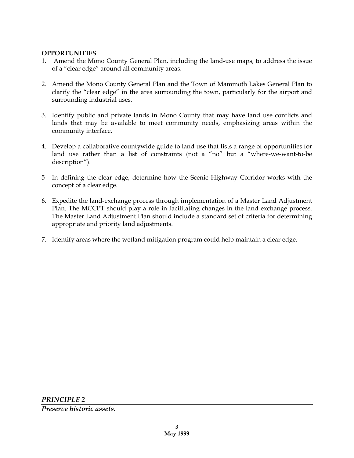#### **OPPORTUNITIES**

- 1. Amend the Mono County General Plan, including the land-use maps, to address the issue of a "clear edge" around all community areas.
- 2. Amend the Mono County General Plan and the Town of Mammoth Lakes General Plan to clarify the "clear edge" in the area surrounding the town, particularly for the airport and surrounding industrial uses.
- 3. Identify public and private lands in Mono County that may have land use conflicts and lands that may be available to meet community needs, emphasizing areas within the community interface.
- 4. Develop a collaborative countywide guide to land use that lists a range of opportunities for land use rather than a list of constraints (not a "no" but a "where-we-want-to-be description").
- 5 In defining the clear edge, determine how the Scenic Highway Corridor works with the concept of a clear edge.
- 6. Expedite the land-exchange process through implementation of a Master Land Adjustment Plan. The MCCPT should play a role in facilitating changes in the land exchange process. The Master Land Adjustment Plan should include a standard set of criteria for determining appropriate and priority land adjustments.
- 7. Identify areas where the wetland mitigation program could help maintain a clear edge.

*PRINCIPLE 2*

*Preserve historic assets.*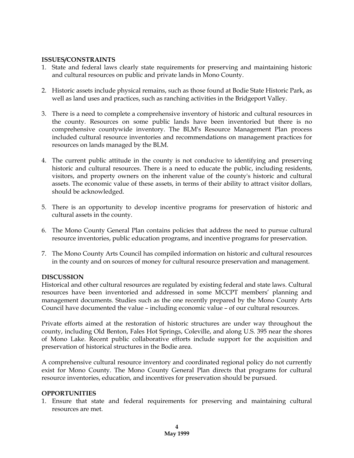### **ISSUES/CONSTRAINTS**

- 1. State and federal laws clearly state requirements for preserving and maintaining historic and cultural resources on public and private lands in Mono County.
- 2. Historic assets include physical remains, such as those found at Bodie State Historic Park, as well as land uses and practices, such as ranching activities in the Bridgeport Valley.
- 3. There is a need to complete a comprehensive inventory of historic and cultural resources in the county. Resources on some public lands have been inventoried but there is no comprehensive countywide inventory. The BLM's Resource Management Plan process included cultural resource inventories and recommendations on management practices for resources on lands managed by the BLM.
- 4. The current public attitude in the county is not conducive to identifying and preserving historic and cultural resources. There is a need to educate the public, including residents, visitors, and property owners on the inherent value of the county's historic and cultural assets. The economic value of these assets, in terms of their ability to attract visitor dollars, should be acknowledged.
- 5. There is an opportunity to develop incentive programs for preservation of historic and cultural assets in the county.
- 6. The Mono County General Plan contains policies that address the need to pursue cultural resource inventories, public education programs, and incentive programs for preservation.
- 7. The Mono County Arts Council has compiled information on historic and cultural resources in the county and on sources of money for cultural resource preservation and management.

#### **DISCUSSION**

Historical and other cultural resources are regulated by existing federal and state laws. Cultural resources have been inventoried and addressed in some MCCPT members' planning and management documents. Studies such as the one recently prepared by the Mono County Arts Council have documented the value – including economic value – of our cultural resources.

Private efforts aimed at the restoration of historic structures are under way throughout the county, including Old Benton, Fales Hot Springs, Coleville, and along U.S. 395 near the shores of Mono Lake. Recent public collaborative efforts include support for the acquisition and preservation of historical structures in the Bodie area.

A comprehensive cultural resource inventory and coordinated regional policy do not currently exist for Mono County. The Mono County General Plan directs that programs for cultural resource inventories, education, and incentives for preservation should be pursued.

#### **OPPORTUNITIES**

1. Ensure that state and federal requirements for preserving and maintaining cultural resources are met.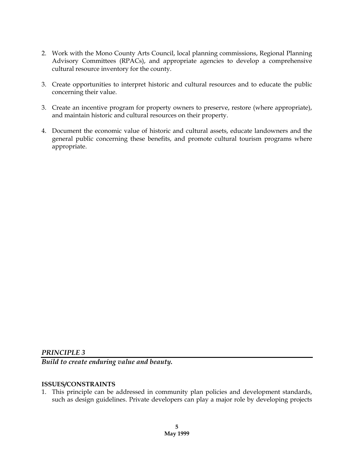- 2. Work with the Mono County Arts Council, local planning commissions, Regional Planning Advisory Committees (RPACs), and appropriate agencies to develop a comprehensive cultural resource inventory for the county.
- 3. Create opportunities to interpret historic and cultural resources and to educate the public concerning their value.
- 3. Create an incentive program for property owners to preserve, restore (where appropriate), and maintain historic and cultural resources on their property.
- 4. Document the economic value of historic and cultural assets, educate landowners and the general public concerning these benefits, and promote cultural tourism programs where appropriate.

*Build to create enduring value and beauty.*

#### **ISSUES/CONSTRAINTS**

1. This principle can be addressed in community plan policies and development standards, such as design guidelines. Private developers can play a major role by developing projects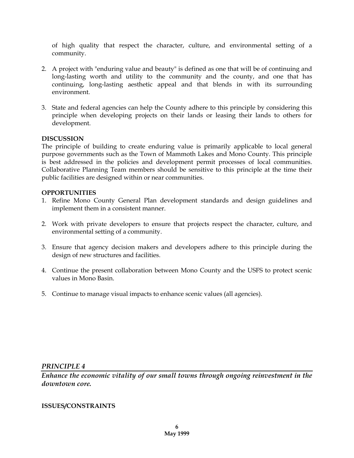of high quality that respect the character, culture, and environmental setting of a community.

- 2. A project with "enduring value and beauty" is defined as one that will be of continuing and long-lasting worth and utility to the community and the county, and one that has continuing, long-lasting aesthetic appeal and that blends in with its surrounding environment.
- 3. State and federal agencies can help the County adhere to this principle by considering this principle when developing projects on their lands or leasing their lands to others for development.

#### **DISCUSSION**

The principle of building to create enduring value is primarily applicable to local general purpose governments such as the Town of Mammoth Lakes and Mono County. This principle is best addressed in the policies and development permit processes of local communities. Collaborative Planning Team members should be sensitive to this principle at the time their public facilities are designed within or near communities.

#### **OPPORTUNITIES**

- 1. Refine Mono County General Plan development standards and design guidelines and implement them in a consistent manner.
- 2. Work with private developers to ensure that projects respect the character, culture, and environmental setting of a community.
- 3. Ensure that agency decision makers and developers adhere to this principle during the design of new structures and facilities.
- 4. Continue the present collaboration between Mono County and the USFS to protect scenic values in Mono Basin.
- 5. Continue to manage visual impacts to enhance scenic values (all agencies).

#### *PRINCIPLE 4*

*Enhance the economic vitality of our small towns through ongoing reinvestment in the downtown core.*

# **ISSUES/CONSTRAINTS**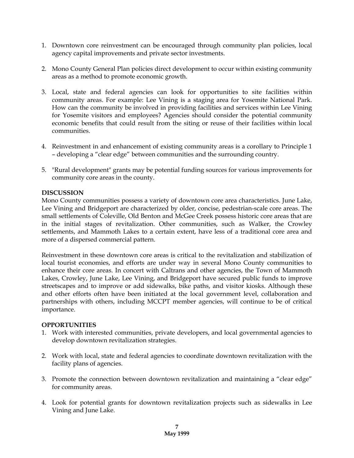- 1. Downtown core reinvestment can be encouraged through community plan policies, local agency capital improvements and private sector investments.
- 2. Mono County General Plan policies direct development to occur within existing community areas as a method to promote economic growth.
- 3. Local, state and federal agencies can look for opportunities to site facilities within community areas. For example: Lee Vining is a staging area for Yosemite National Park. How can the community be involved in providing facilities and services within Lee Vining for Yosemite visitors and employees? Agencies should consider the potential community economic benefits that could result from the siting or reuse of their facilities within local communities.
- 4. Reinvestment in and enhancement of existing community areas is a corollary to Principle 1 – developing a "clear edge" between communities and the surrounding country.
- 5. "Rural development" grants may be potential funding sources for various improvements for community core areas in the county.

#### **DISCUSSION**

Mono County communities possess a variety of downtown core area characteristics. June Lake, Lee Vining and Bridgeport are characterized by older, concise, pedestrian-scale core areas. The small settlements of Coleville, Old Benton and McGee Creek possess historic core areas that are in the initial stages of revitalization. Other communities, such as Walker, the Crowley settlements, and Mammoth Lakes to a certain extent, have less of a traditional core area and more of a dispersed commercial pattern.

Reinvestment in these downtown core areas is critical to the revitalization and stabilization of local tourist economies, and efforts are under way in several Mono County communities to enhance their core areas. In concert with Caltrans and other agencies, the Town of Mammoth Lakes, Crowley, June Lake, Lee Vining, and Bridgeport have secured public funds to improve streetscapes and to improve or add sidewalks, bike paths, and visitor kiosks. Although these and other efforts often have been initiated at the local government level, collaboration and partnerships with others, including MCCPT member agencies, will continue to be of critical importance.

- 1. Work with interested communities, private developers, and local governmental agencies to develop downtown revitalization strategies.
- 2. Work with local, state and federal agencies to coordinate downtown revitalization with the facility plans of agencies.
- 3. Promote the connection between downtown revitalization and maintaining a "clear edge" for community areas.
- 4. Look for potential grants for downtown revitalization projects such as sidewalks in Lee Vining and June Lake.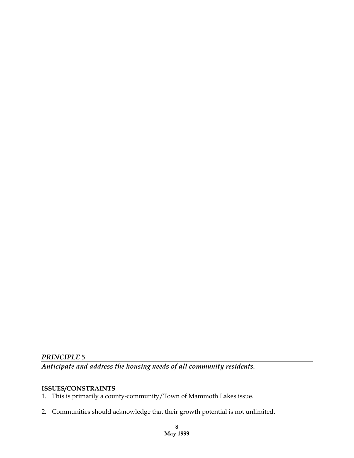*Anticipate and address the housing needs of all community residents.*

# **ISSUES/CONSTRAINTS**

1. This is primarily a county-community/Town of Mammoth Lakes issue.

2. Communities should acknowledge that their growth potential is not unlimited.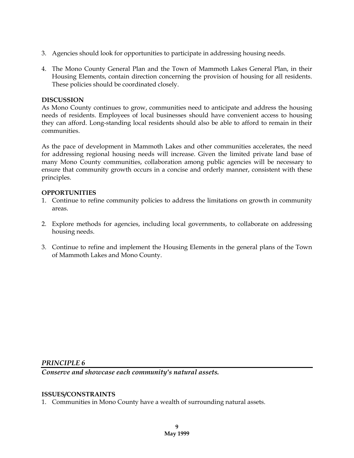- 3. Agencies should look for opportunities to participate in addressing housing needs.
- 4. The Mono County General Plan and the Town of Mammoth Lakes General Plan, in their Housing Elements, contain direction concerning the provision of housing for all residents. These policies should be coordinated closely.

#### **DISCUSSION**

As Mono County continues to grow, communities need to anticipate and address the housing needs of residents. Employees of local businesses should have convenient access to housing they can afford. Long-standing local residents should also be able to afford to remain in their communities.

As the pace of development in Mammoth Lakes and other communities accelerates, the need for addressing regional housing needs will increase. Given the limited private land base of many Mono County communities, collaboration among public agencies will be necessary to ensure that community growth occurs in a concise and orderly manner, consistent with these principles.

#### **OPPORTUNITIES**

- 1. Continue to refine community policies to address the limitations on growth in community areas.
- 2. Explore methods for agencies, including local governments, to collaborate on addressing housing needs.
- 3. Continue to refine and implement the Housing Elements in the general plans of the Town of Mammoth Lakes and Mono County.

#### *PRINCIPLE 6*

*Conserve and showcase each community's natural assets.*

#### **ISSUES/CONSTRAINTS**

1. Communities in Mono County have a wealth of surrounding natural assets.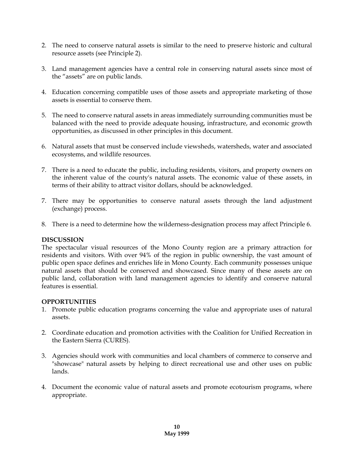- 2. The need to conserve natural assets is similar to the need to preserve historic and cultural resource assets (see Principle 2).
- 3. Land management agencies have a central role in conserving natural assets since most of the "assets" are on public lands.
- 4. Education concerning compatible uses of those assets and appropriate marketing of those assets is essential to conserve them.
- 5. The need to conserve natural assets in areas immediately surrounding communities must be balanced with the need to provide adequate housing, infrastructure, and economic growth opportunities, as discussed in other principles in this document.
- 6. Natural assets that must be conserved include viewsheds, watersheds, water and associated ecosystems, and wildlife resources.
- 7. There is a need to educate the public, including residents, visitors, and property owners on the inherent value of the county's natural assets. The economic value of these assets, in terms of their ability to attract visitor dollars, should be acknowledged.
- 7. There may be opportunities to conserve natural assets through the land adjustment (exchange) process.
- 8. There is a need to determine how the wilderness-designation process may affect Principle 6.

#### **DISCUSSION**

The spectacular visual resources of the Mono County region are a primary attraction for residents and visitors. With over 94% of the region in public ownership, the vast amount of public open space defines and enriches life in Mono County. Each community possesses unique natural assets that should be conserved and showcased. Since many of these assets are on public land, collaboration with land management agencies to identify and conserve natural features is essential.

- 1. Promote public education programs concerning the value and appropriate uses of natural assets.
- 2. Coordinate education and promotion activities with the Coalition for Unified Recreation in the Eastern Sierra (CURES).
- 3. Agencies should work with communities and local chambers of commerce to conserve and "showcase" natural assets by helping to direct recreational use and other uses on public lands.
- 4. Document the economic value of natural assets and promote ecotourism programs, where appropriate.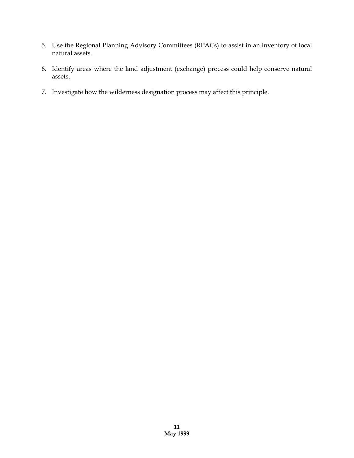- 5. Use the Regional Planning Advisory Committees (RPACs) to assist in an inventory of local natural assets.
- 6. Identify areas where the land adjustment (exchange) process could help conserve natural assets.
- 7. Investigate how the wilderness designation process may affect this principle.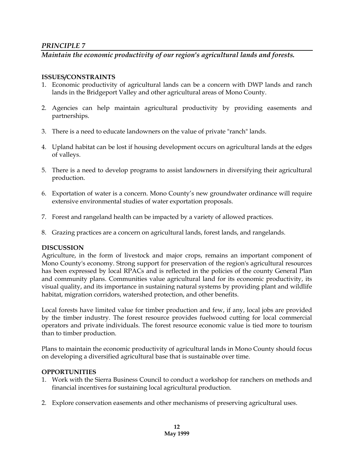# *Maintain the economic productivity of our region's agricultural lands and forests.*

### **ISSUES/CONSTRAINTS**

- 1. Economic productivity of agricultural lands can be a concern with DWP lands and ranch lands in the Bridgeport Valley and other agricultural areas of Mono County.
- 2. Agencies can help maintain agricultural productivity by providing easements and partnerships.
- 3. There is a need to educate landowners on the value of private "ranch" lands.
- 4. Upland habitat can be lost if housing development occurs on agricultural lands at the edges of valleys.
- 5. There is a need to develop programs to assist landowners in diversifying their agricultural production.
- 6. Exportation of water is a concern. Mono County's new groundwater ordinance will require extensive environmental studies of water exportation proposals.
- 7. Forest and rangeland health can be impacted by a variety of allowed practices.
- 8. Grazing practices are a concern on agricultural lands, forest lands, and rangelands.

#### **DISCUSSION**

Agriculture, in the form of livestock and major crops, remains an important component of Mono County's economy. Strong support for preservation of the region's agricultural resources has been expressed by local RPACs and is reflected in the policies of the county General Plan and community plans. Communities value agricultural land for its economic productivity, its visual quality, and its importance in sustaining natural systems by providing plant and wildlife habitat, migration corridors, watershed protection, and other benefits.

Local forests have limited value for timber production and few, if any, local jobs are provided by the timber industry. The forest resource provides fuelwood cutting for local commercial operators and private individuals. The forest resource economic value is tied more to tourism than to timber production.

Plans to maintain the economic productivity of agricultural lands in Mono County should focus on developing a diversified agricultural base that is sustainable over time.

- 1. Work with the Sierra Business Council to conduct a workshop for ranchers on methods and financial incentives for sustaining local agricultural production.
- 2. Explore conservation easements and other mechanisms of preserving agricultural uses.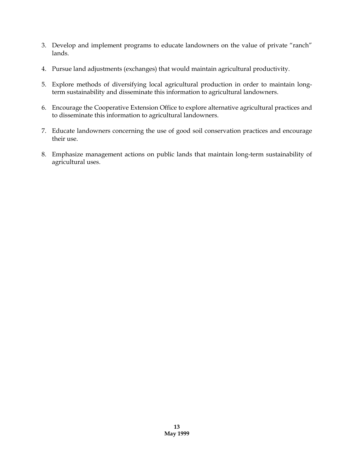- 3. Develop and implement programs to educate landowners on the value of private "ranch" lands.
- 4. Pursue land adjustments (exchanges) that would maintain agricultural productivity.
- 5. Explore methods of diversifying local agricultural production in order to maintain longterm sustainability and disseminate this information to agricultural landowners.
- 6. Encourage the Cooperative Extension Office to explore alternative agricultural practices and to disseminate this information to agricultural landowners.
- 7. Educate landowners concerning the use of good soil conservation practices and encourage their use.
- 8. Emphasize management actions on public lands that maintain long-term sustainability of agricultural uses.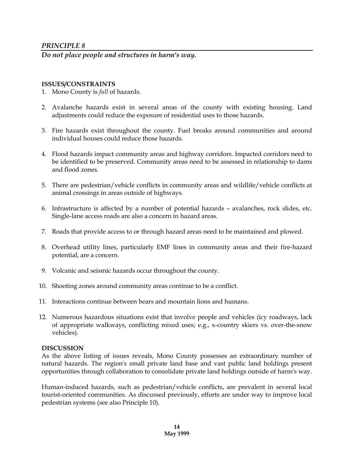*Do not place people and structures in harm's way.*

#### **ISSUES/CONSTRAINTS**

- 1. Mono County is *full* of hazards.
- 2. Avalanche hazards exist in several areas of the county with existing housing. Land adjustments could reduce the exposure of residential uses to those hazards.
- 3. Fire hazards exist throughout the county. Fuel breaks around communities and around individual houses could reduce those hazards.
- 4. Flood hazards impact community areas and highway corridors. Impacted corridors need to be identified to be preserved. Community areas need to be assessed in relationship to dams and flood zones.
- 5. There are pedestrian/vehicle conflicts in community areas and wildlife/vehicle conflicts at animal crossings in areas outside of highways.
- 6. Infrastructure is affected by a number of potential hazards avalanches, rock slides, etc. Single-lane access roads are also a concern in hazard areas.
- 7. Roads that provide access to or through hazard areas need to be maintained and plowed.
- 8. Overhead utility lines, particularly EMF lines in community areas and their fire-hazard potential, are a concern.
- 9. Volcanic and seismic hazards occur throughout the county.
- 10. Shooting zones around community areas continue to be a conflict.
- 11. Interactions continue between bears and mountain lions and humans.
- 12. Numerous hazardous situations exist that involve people and vehicles (icy roadways, lack of appropriate walkways, conflicting mixed uses; e.g., x-country skiers vs. over-the-snow vehicles).

#### **DISCUSSION**

As the above listing of issues reveals, Mono County possesses an extraordinary number of natural hazards. The region's small private land base and vast public land holdings present opportunities through collaboration to consolidate private land holdings outside of harm's way.

Human-induced hazards, such as pedestrian/vehicle conflicts, are prevalent in several local tourist-oriented communities. As discussed previously, efforts are under way to improve local pedestrian systems (see also Principle 10).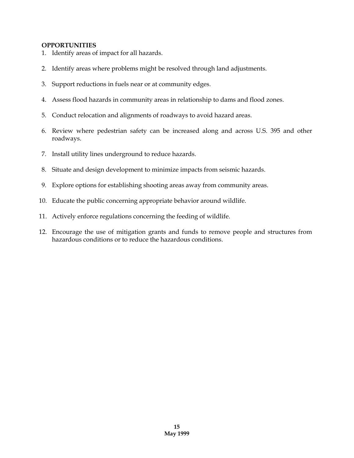- 1. Identify areas of impact for all hazards.
- 2. Identify areas where problems might be resolved through land adjustments.
- 3. Support reductions in fuels near or at community edges.
- 4. Assess flood hazards in community areas in relationship to dams and flood zones.
- 5. Conduct relocation and alignments of roadways to avoid hazard areas.
- 6. Review where pedestrian safety can be increased along and across U.S. 395 and other roadways.
- 7. Install utility lines underground to reduce hazards.
- 8. Situate and design development to minimize impacts from seismic hazards.
- 9. Explore options for establishing shooting areas away from community areas.
- 10. Educate the public concerning appropriate behavior around wildlife.
- 11. Actively enforce regulations concerning the feeding of wildlife.
- 12. Encourage the use of mitigation grants and funds to remove people and structures from hazardous conditions or to reduce the hazardous conditions.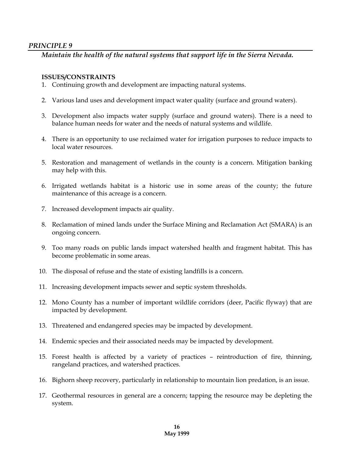# *Maintain the health of the natural systems that support life in the Sierra Nevada.*

#### **ISSUES/CONSTRAINTS**

- 1. Continuing growth and development are impacting natural systems.
- 2. Various land uses and development impact water quality (surface and ground waters).
- 3. Development also impacts water supply (surface and ground waters). There is a need to balance human needs for water and the needs of natural systems and wildlife.
- 4. There is an opportunity to use reclaimed water for irrigation purposes to reduce impacts to local water resources.
- 5. Restoration and management of wetlands in the county is a concern. Mitigation banking may help with this.
- 6. Irrigated wetlands habitat is a historic use in some areas of the county; the future maintenance of this acreage is a concern.
- 7. Increased development impacts air quality.
- 8. Reclamation of mined lands under the Surface Mining and Reclamation Act (SMARA) is an ongoing concern.
- 9. Too many roads on public lands impact watershed health and fragment habitat. This has become problematic in some areas.
- 10. The disposal of refuse and the state of existing landfills is a concern.
- 11. Increasing development impacts sewer and septic system thresholds.
- 12. Mono County has a number of important wildlife corridors (deer, Pacific flyway) that are impacted by development.
- 13. Threatened and endangered species may be impacted by development.
- 14. Endemic species and their associated needs may be impacted by development.
- 15. Forest health is affected by a variety of practices reintroduction of fire, thinning, rangeland practices, and watershed practices.
- 16. Bighorn sheep recovery, particularly in relationship to mountain lion predation, is an issue.
- 17. Geothermal resources in general are a concern; tapping the resource may be depleting the system.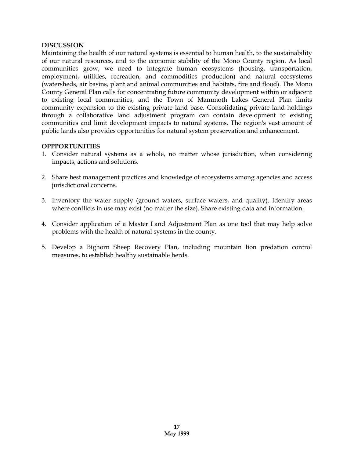#### **DISCUSSION**

Maintaining the health of our natural systems is essential to human health, to the sustainability of our natural resources, and to the economic stability of the Mono County region. As local communities grow, we need to integrate human ecosystems (housing, transportation, employment, utilities, recreation, and commodities production) and natural ecosystems (watersheds, air basins, plant and animal communities and habitats, fire and flood). The Mono County General Plan calls for concentrating future community development within or adjacent to existing local communities, and the Town of Mammoth Lakes General Plan limits community expansion to the existing private land base. Consolidating private land holdings through a collaborative land adjustment program can contain development to existing communities and limit development impacts to natural systems. The region's vast amount of public lands also provides opportunities for natural system preservation and enhancement.

- 1. Consider natural systems as a whole, no matter whose jurisdiction, when considering impacts, actions and solutions.
- 2. Share best management practices and knowledge of ecosystems among agencies and access jurisdictional concerns.
- 3. Inventory the water supply (ground waters, surface waters, and quality). Identify areas where conflicts in use may exist (no matter the size). Share existing data and information.
- 4. Consider application of a Master Land Adjustment Plan as one tool that may help solve problems with the health of natural systems in the county.
- 5. Develop a Bighorn Sheep Recovery Plan, including mountain lion predation control measures, to establish healthy sustainable herds.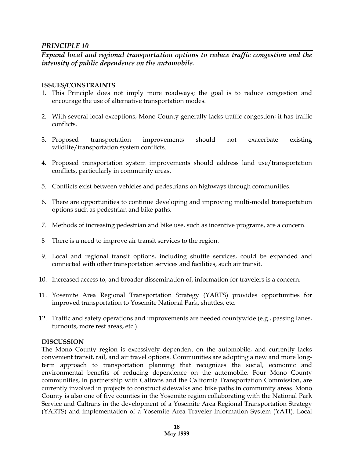*Expand local and regional transportation options to reduce traffic congestion and the intensity of public dependence on the automobile.*

#### **ISSUES/CONSTRAINTS**

- 1. This Principle does not imply more roadways; the goal is to reduce congestion and encourage the use of alternative transportation modes.
- 2. With several local exceptions, Mono County generally lacks traffic congestion; it has traffic conflicts.
- 3. Proposed transportation improvements should not exacerbate existing wildlife/transportation system conflicts.
- 4. Proposed transportation system improvements should address land use/transportation conflicts, particularly in community areas.
- 5. Conflicts exist between vehicles and pedestrians on highways through communities.
- 6. There are opportunities to continue developing and improving multi-modal transportation options such as pedestrian and bike paths.
- 7. Methods of increasing pedestrian and bike use, such as incentive programs, are a concern.
- 8 There is a need to improve air transit services to the region.
- 9. Local and regional transit options, including shuttle services, could be expanded and connected with other transportation services and facilities, such air transit.
- 10. Increased access to, and broader dissemination of, information for travelers is a concern.
- 11. Yosemite Area Regional Transportation Strategy (YARTS) provides opportunities for improved transportation to Yosemite National Park, shuttles, etc.
- 12. Traffic and safety operations and improvements are needed countywide (e.g., passing lanes, turnouts, more rest areas, etc.).

#### **DISCUSSION**

The Mono County region is excessively dependent on the automobile, and currently lacks convenient transit, rail, and air travel options. Communities are adopting a new and more longterm approach to transportation planning that recognizes the social, economic and environmental benefits of reducing dependence on the automobile. Four Mono County communities, in partnership with Caltrans and the California Transportation Commission, are currently involved in projects to construct sidewalks and bike paths in community areas. Mono County is also one of five counties in the Yosemite region collaborating with the National Park Service and Caltrans in the development of a Yosemite Area Regional Transportation Strategy (YARTS) and implementation of a Yosemite Area Traveler Information System (YATI). Local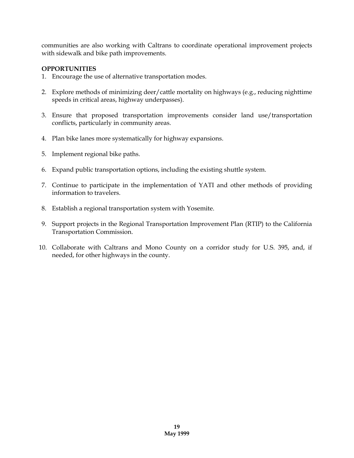communities are also working with Caltrans to coordinate operational improvement projects with sidewalk and bike path improvements.

- 1. Encourage the use of alternative transportation modes.
- 2. Explore methods of minimizing deer/cattle mortality on highways (e.g., reducing nighttime speeds in critical areas, highway underpasses).
- 3. Ensure that proposed transportation improvements consider land use/transportation conflicts, particularly in community areas.
- 4. Plan bike lanes more systematically for highway expansions.
- 5. Implement regional bike paths.
- 6. Expand public transportation options, including the existing shuttle system.
- 7. Continue to participate in the implementation of YATI and other methods of providing information to travelers.
- 8. Establish a regional transportation system with Yosemite.
- 9. Support projects in the Regional Transportation Improvement Plan (RTIP) to the California Transportation Commission.
- 10. Collaborate with Caltrans and Mono County on a corridor study for U.S. 395, and, if needed, for other highways in the county.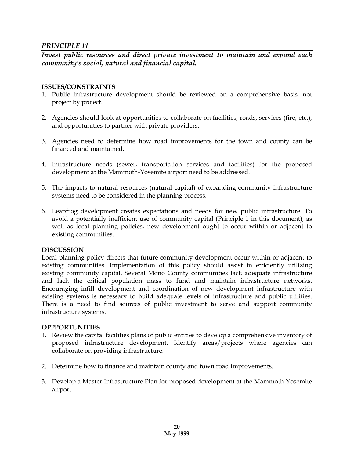*Invest public resources and direct private investment to maintain and expand each community's social, natural and financial capital.*

### **ISSUES/CONSTRAINTS**

- 1. Public infrastructure development should be reviewed on a comprehensive basis, not project by project.
- 2. Agencies should look at opportunities to collaborate on facilities, roads, services (fire, etc.), and opportunities to partner with private providers.
- 3. Agencies need to determine how road improvements for the town and county can be financed and maintained.
- 4. Infrastructure needs (sewer, transportation services and facilities) for the proposed development at the Mammoth-Yosemite airport need to be addressed.
- 5. The impacts to natural resources (natural capital) of expanding community infrastructure systems need to be considered in the planning process.
- 6. Leapfrog development creates expectations and needs for new public infrastructure. To avoid a potentially inefficient use of community capital (Principle 1 in this document), as well as local planning policies, new development ought to occur within or adjacent to existing communities.

#### **DISCUSSION**

Local planning policy directs that future community development occur within or adjacent to existing communities. Implementation of this policy should assist in efficiently utilizing existing community capital. Several Mono County communities lack adequate infrastructure and lack the critical population mass to fund and maintain infrastructure networks. Encouraging infill development and coordination of new development infrastructure with existing systems is necessary to build adequate levels of infrastructure and public utilities. There is a need to find sources of public investment to serve and support community infrastructure systems.

- 1. Review the capital facilities plans of public entities to develop a comprehensive inventory of proposed infrastructure development. Identify areas/projects where agencies can collaborate on providing infrastructure.
- 2. Determine how to finance and maintain county and town road improvements.
- 3. Develop a Master Infrastructure Plan for proposed development at the Mammoth-Yosemite airport.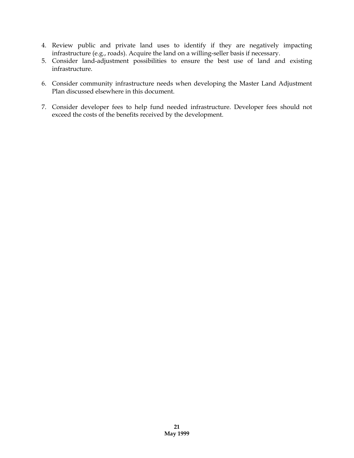- 4. Review public and private land uses to identify if they are negatively impacting infrastructure (e.g., roads). Acquire the land on a willing-seller basis if necessary.
- 5. Consider land-adjustment possibilities to ensure the best use of land and existing infrastructure.
- 6. Consider community infrastructure needs when developing the Master Land Adjustment Plan discussed elsewhere in this document.
- 7. Consider developer fees to help fund needed infrastructure. Developer fees should not exceed the costs of the benefits received by the development.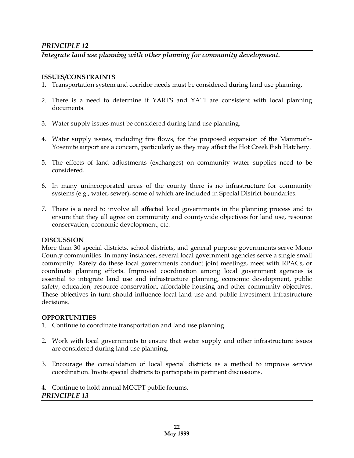# *Integrate land use planning with other planning for community development.*

#### **ISSUES/CONSTRAINTS**

- 1. Transportation system and corridor needs must be considered during land use planning.
- 2. There is a need to determine if YARTS and YATI are consistent with local planning documents.
- 3. Water supply issues must be considered during land use planning.
- 4. Water supply issues, including fire flows, for the proposed expansion of the Mammoth-Yosemite airport are a concern, particularly as they may affect the Hot Creek Fish Hatchery.
- 5. The effects of land adjustments (exchanges) on community water supplies need to be considered.
- 6. In many unincorporated areas of the county there is no infrastructure for community systems (e.g., water, sewer), some of which are included in Special District boundaries.
- 7. There is a need to involve all affected local governments in the planning process and to ensure that they all agree on community and countywide objectives for land use, resource conservation, economic development, etc.

#### **DISCUSSION**

More than 30 special districts, school districts, and general purpose governments serve Mono County communities. In many instances, several local government agencies serve a single small community. Rarely do these local governments conduct joint meetings, meet with RPACs, or coordinate planning efforts. Improved coordination among local government agencies is essential to integrate land use and infrastructure planning, economic development, public safety, education, resource conservation, affordable housing and other community objectives. These objectives in turn should influence local land use and public investment infrastructure decisions.

#### **OPPORTUNITIES**

- 1. Continue to coordinate transportation and land use planning.
- 2. Work with local governments to ensure that water supply and other infrastructure issues are considered during land use planning.
- 3. Encourage the consolidation of local special districts as a method to improve service coordination. Invite special districts to participate in pertinent discussions.
- 4. Continue to hold annual MCCPT public forums.

# *PRINCIPLE 13*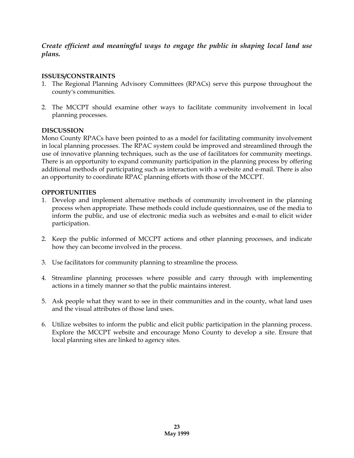*Create efficient and meaningful ways to engage the public in shaping local land use plans.*

# **ISSUES/CONSTRAINTS**

- 1. The Regional Planning Advisory Committees (RPACs) serve this purpose throughout the county's communities.
- 2. The MCCPT should examine other ways to facilitate community involvement in local planning processes.

# **DISCUSSION**

Mono County RPACs have been pointed to as a model for facilitating community involvement in local planning processes. The RPAC system could be improved and streamlined through the use of innovative planning techniques, such as the use of facilitators for community meetings. There is an opportunity to expand community participation in the planning process by offering additional methods of participating such as interaction with a website and e-mail. There is also an opportunity to coordinate RPAC planning efforts with those of the MCCPT.

- 1. Develop and implement alternative methods of community involvement in the planning process when appropriate. These methods could include questionnaires, use of the media to inform the public, and use of electronic media such as websites and e-mail to elicit wider participation.
- 2. Keep the public informed of MCCPT actions and other planning processes, and indicate how they can become involved in the process.
- 3. Use facilitators for community planning to streamline the process.
- 4. Streamline planning processes where possible and carry through with implementing actions in a timely manner so that the public maintains interest.
- 5. Ask people what they want to see in their communities and in the county, what land uses and the visual attributes of those land uses.
- 6. Utilize websites to inform the public and elicit public participation in the planning process. Explore the MCCPT website and encourage Mono County to develop a site. Ensure that local planning sites are linked to agency sites.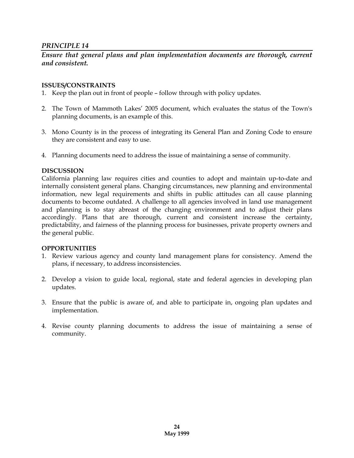# *Ensure that general plans and plan implementation documents are thorough, current and consistent.*

#### **ISSUES/CONSTRAINTS**

- 1. Keep the plan out in front of people follow through with policy updates.
- 2. The Town of Mammoth Lakes' 2005 document, which evaluates the status of the Town's planning documents, is an example of this.
- 3. Mono County is in the process of integrating its General Plan and Zoning Code to ensure they are consistent and easy to use.
- 4. Planning documents need to address the issue of maintaining a sense of community.

#### **DISCUSSION**

California planning law requires cities and counties to adopt and maintain up-to-date and internally consistent general plans. Changing circumstances, new planning and environmental information, new legal requirements and shifts in public attitudes can all cause planning documents to become outdated. A challenge to all agencies involved in land use management and planning is to stay abreast of the changing environment and to adjust their plans accordingly. Plans that are thorough, current and consistent increase the certainty, predictability, and fairness of the planning process for businesses, private property owners and the general public.

- 1. Review various agency and county land management plans for consistency. Amend the plans, if necessary, to address inconsistencies.
- 2. Develop a vision to guide local, regional, state and federal agencies in developing plan updates.
- 3. Ensure that the public is aware of, and able to participate in, ongoing plan updates and implementation.
- 4. Revise county planning documents to address the issue of maintaining a sense of community.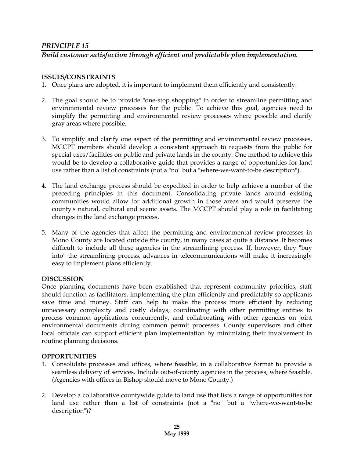# *Build customer satisfaction through efficient and predictable plan implementation.*

### **ISSUES/CONSTRAINTS**

- 1. Once plans are adopted, it is important to implement them efficiently and consistently.
- 2. The goal should be to provide "one-stop shopping" in order to streamline permitting and environmental review processes for the public. To achieve this goal, agencies need to simplify the permitting and environmental review processes where possible and clarify gray areas where possible.
- 3. To simplify and clarify one aspect of the permitting and environmental review processes, MCCPT members should develop a consistent approach to requests from the public for special uses/facilities on public and private lands in the county. One method to achieve this would be to develop a collaborative guide that provides a range of opportunities for land use rather than a list of constraints (not a "no" but a "where-we-want-to-be description").
- 4. The land exchange process should be expedited in order to help achieve a number of the preceding principles in this document. Consolidating private lands around existing communities would allow for additional growth in those areas and would preserve the county's natural, cultural and scenic assets. The MCCPT should play a role in facilitating changes in the land exchange process.
- 5. Many of the agencies that affect the permitting and environmental review processes in Mono County are located outside the county, in many cases at quite a distance. It becomes difficult to include all these agencies in the streamlining process. If, however, they "buy into" the streamlining process, advances in telecommunications will make it increasingly easy to implement plans efficiently.

#### **DISCUSSION**

Once planning documents have been established that represent community priorities, staff should function as facilitators, implementing the plan efficiently and predictably so applicants save time and money. Staff can help to make the process more efficient by reducing unnecessary complexity and costly delays, coordinating with other permitting entities to process common applications concurrently, and collaborating with other agencies on joint environmental documents during common permit processes. County supervisors and other local officials can support efficient plan implementation by minimizing their involvement in routine planning decisions.

- 1. Consolidate processes and offices, where feasible, in a collaborative format to provide a seamless delivery of services. Include out-of-county agencies in the process, where feasible. (Agencies with offices in Bishop should move to Mono County.)
- 2. Develop a collaborative countywide guide to land use that lists a range of opportunities for land use rather than a list of constraints (not a "no" but a "where-we-want-to-be description")?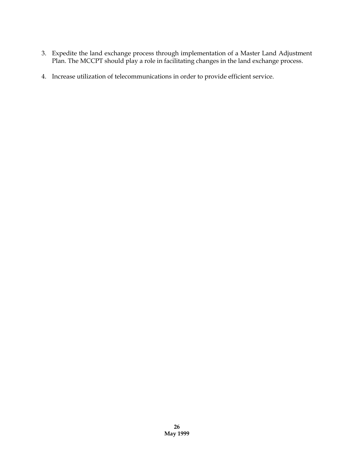- 3. Expedite the land exchange process through implementation of a Master Land Adjustment Plan. The MCCPT should play a role in facilitating changes in the land exchange process.
- 4. Increase utilization of telecommunications in order to provide efficient service.